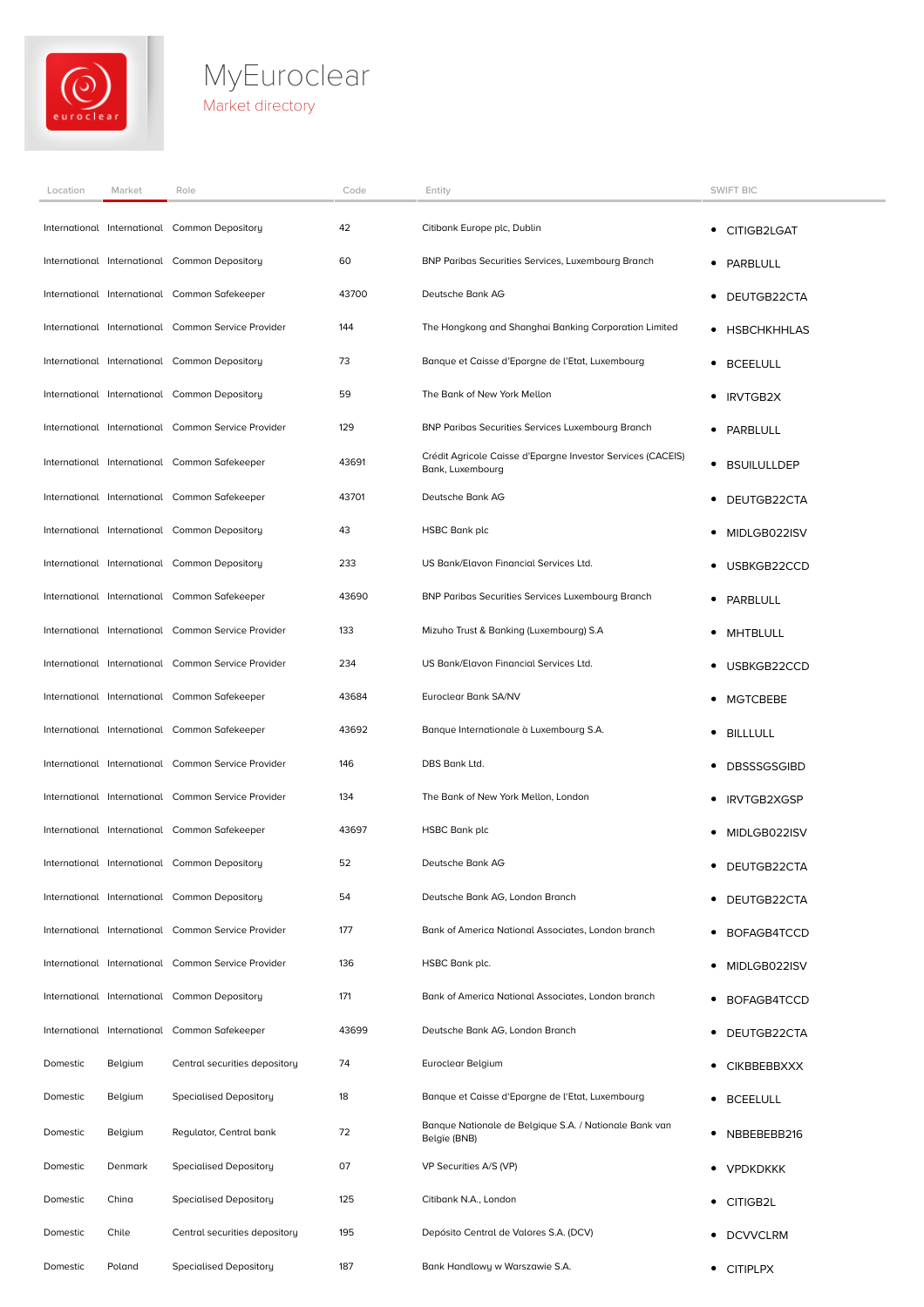

## **MyEuroclear** Market directory

| Location | Market  | Role                                                | Code  | Entity                                                                          | <b>SWIFT BIC</b>        |
|----------|---------|-----------------------------------------------------|-------|---------------------------------------------------------------------------------|-------------------------|
|          |         | International International Common Depository       | 42    | Citibank Europe plc, Dublin                                                     | CITIGB2LGAT<br>٠        |
|          |         | International International Common Depository       | 60    | BNP Paribas Securities Services, Luxembourg Branch                              | PARBLULL<br>٠           |
|          |         | International International Common Safekeeper       | 43700 | Deutsche Bank AG                                                                | DEUTGB22CTA<br>٠        |
|          |         | International International Common Service Provider | 144   | The Hongkong and Shanghai Banking Corporation Limited                           | • HSBCHKHHLAS           |
|          |         | International International Common Depository       | 73    | Banque et Caisse d'Epargne de l'Etat, Luxembourg                                | <b>BCEELULL</b><br>٠    |
|          |         | International International Common Depository       | 59    | The Bank of New York Mellon                                                     | <b>IRVTGB2X</b><br>٠    |
|          |         | International International Common Service Provider | 129   | <b>BNP Paribas Securities Services Luxembourg Branch</b>                        | PARBLULL<br>٠           |
|          |         | International International Common Safekeeper       | 43691 | Crédit Agricole Caisse d'Epargne Investor Services (CACEIS)<br>Bank, Luxembourg | <b>BSUILULLDEP</b><br>٠ |
|          |         | International International Common Safekeeper       | 43701 | Deutsche Bank AG                                                                | DEUTGB22CTA<br>٠        |
|          |         | International International Common Depository       | 43    | <b>HSBC Bank plc</b>                                                            | MIDLGB022ISV            |
|          |         | International International Common Depository       | 233   | US Bank/Elavon Financial Services Ltd.                                          | USBKGB22CCD             |
|          |         | International International Common Safekeeper       | 43690 | <b>BNP Paribas Securities Services Luxembourg Branch</b>                        | PARBLULL<br>٠           |
|          |         | International International Common Service Provider | 133   | Mizuho Trust & Banking (Luxembourg) S.A                                         | MHTBLULL<br>٠           |
|          |         | International International Common Service Provider | 234   | US Bank/Elavon Financial Services Ltd.                                          | USBKGB22CCD<br>٠        |
|          |         | International International Common Safekeeper       | 43684 | Euroclear Bank SA/NV                                                            | <b>MGTCBEBE</b><br>٠    |
|          |         | International International Common Safekeeper       | 43692 | Banque Internationale à Luxembourg S.A.                                         | BILLLULL<br>٠           |
|          |         | International International Common Service Provider | 146   | DBS Bank Ltd.                                                                   | <b>DBSSSGSGIBD</b>      |
|          |         | International International Common Service Provider | 134   | The Bank of New York Mellon, London                                             | <b>IRVTGB2XGSP</b>      |
|          |         | International International Common Safekeeper       | 43697 | HSBC Bank plc                                                                   | MIDLGB022ISV            |
|          |         | International International Common Depository       | 52    | Deutsche Bank AG                                                                | • DEUTGB22CTA           |
|          |         | International International Common Depository       | 54    | Deutsche Bank AG, London Branch                                                 | DEUTGB22CTA             |
|          |         | International International Common Service Provider | 177   | Bank of America National Associates, London branch                              | BOFAGB4TCCD<br>٠        |
|          |         | International International Common Service Provider | 136   | HSBC Bank plc.                                                                  | MIDLGB022ISV<br>٠       |
|          |         | International International Common Depository       | 171   | Bank of America National Associates, London branch                              | BOFAGB4TCCD<br>٠        |
|          |         | International International Common Safekeeper       | 43699 | Deutsche Bank AG, London Branch                                                 | DEUTGB22CTA<br>٠        |
| Domestic | Belgium | Central securities depository                       | 74    | Euroclear Belgium                                                               | <b>CIKBBEBBXXX</b>      |
| Domestic | Belgium | <b>Specialised Depository</b>                       | 18    | Banque et Caisse d'Epargne de l'Etat, Luxembourg                                | <b>BCEELULL</b><br>٠    |
| Domestic | Belgium | Regulator, Central bank                             | 72    | Banque Nationale de Belgique S.A. / Nationale Bank van<br>Belgïe (BNB)          | NBBEBEBB216<br>٠        |
| Domestic | Denmark | <b>Specialised Depository</b>                       | 07    | VP Securities A/S (VP)                                                          | • VPDKDKKK              |
| Domestic | China   | <b>Specialised Depository</b>                       | 125   | Citibank N.A., London                                                           | • CITIGB2L              |
| Domestic | Chile   | Central securities depository                       | 195   | Depósito Central de Valores S.A. (DCV)                                          | <b>DCVVCLRM</b>         |
| Domestic | Poland  | <b>Specialised Depository</b>                       | 187   | Bank Handlowy w Warszawie S.A.                                                  | • CITIPLPX              |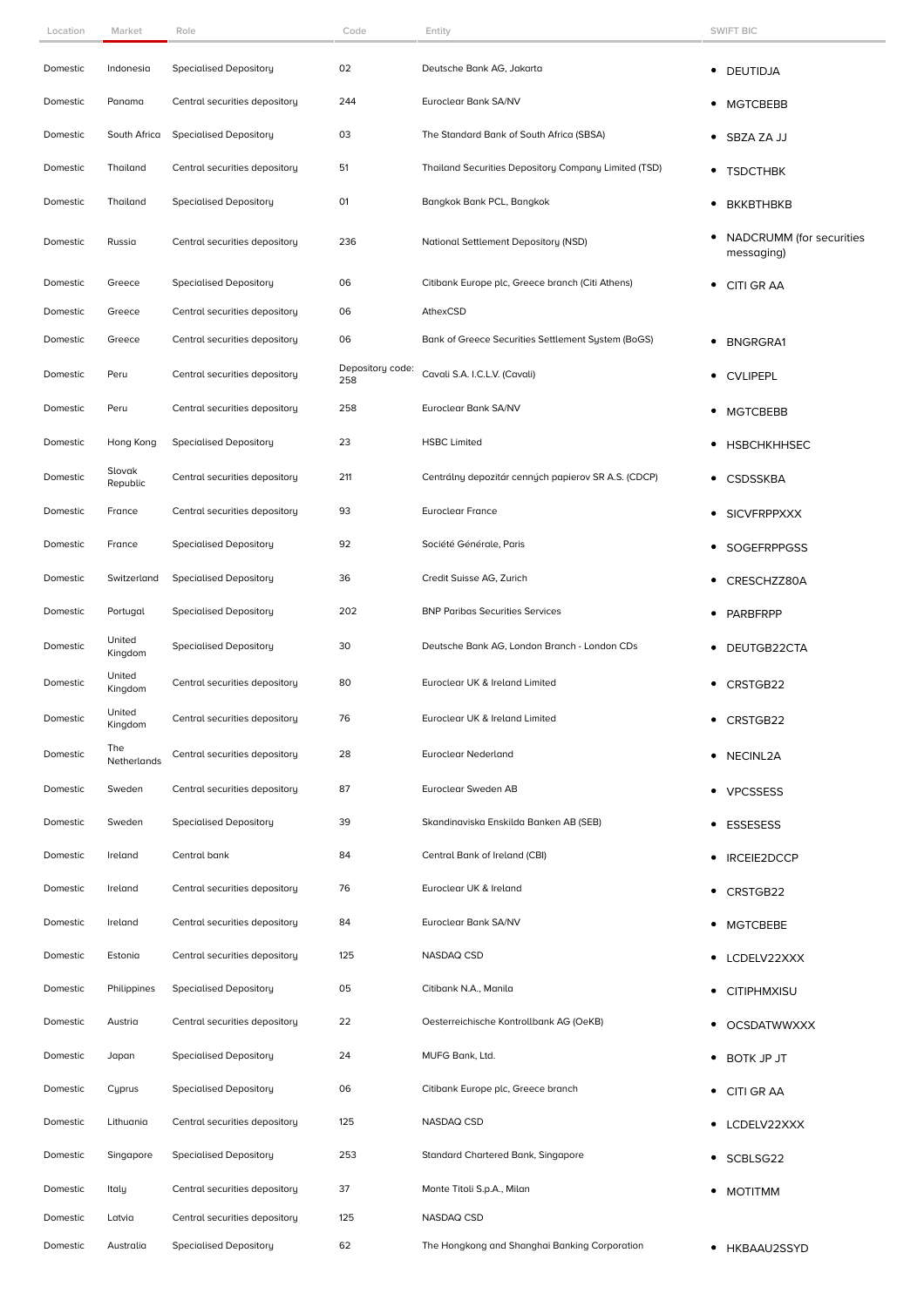| Location | Market             | Role                          | Code                    | Entity                                               | <b>SWIFT BIC</b>                       |
|----------|--------------------|-------------------------------|-------------------------|------------------------------------------------------|----------------------------------------|
| Domestic | Indonesia          | Specialised Depository        | 02                      | Deutsche Bank AG, Jakarta                            | • DEUTIDJA                             |
| Domestic | Panama             | Central securities depository | 244                     | Euroclear Bank SA/NV                                 | MGTCBEBB<br>٠                          |
| Domestic | South Africa       | <b>Specialised Depository</b> | 03                      | The Standard Bank of South Africa (SBSA)             | SBZA ZA JJ<br>٠                        |
| Domestic | Thailand           | Central securities depository | 51                      | Thailand Securities Depository Company Limited (TSD) | • TSDCTHBK                             |
| Domestic | Thailand           | <b>Specialised Depository</b> | 01                      | Bangkok Bank PCL, Bangkok                            | <b>BKKBTHBKB</b><br>٠                  |
| Domestic | Russia             | Central securities depository | 236                     | National Settlement Depository (NSD)                 | NADCRUMM (for securities<br>messaging) |
| Domestic | Greece             | <b>Specialised Depository</b> | 06                      | Citibank Europe plc, Greece branch (Citi Athens)     | CITI GR AA<br>٠                        |
| Domestic | Greece             | Central securities depository | 06                      | AthexCSD                                             |                                        |
| Domestic | Greece             | Central securities depository | 06                      | Bank of Greece Securities Settlement System (BoGS)   | <b>BNGRGRA1</b><br>٠                   |
| Domestic | Peru               | Central securities depository | Depository code:<br>258 | Cavali S.A. I.C.L.V. (Cavali)                        | <b>CVLIPEPL</b><br>٠                   |
| Domestic | Peru               | Central securities depository | 258                     | Euroclear Bank SA/NV                                 | <b>MGTCBEBB</b><br>٠                   |
| Domestic | Hong Kong          | <b>Specialised Depository</b> | 23                      | <b>HSBC Limited</b>                                  | <b>HSBCHKHHSEC</b><br>٠                |
| Domestic | Slovak<br>Republic | Central securities depository | 211                     | Centrálny depozitár cenných papierov SR A.S. (CDCP)  | <b>CSDSSKBA</b>                        |
| Domestic | France             | Central securities depository | 93                      | <b>Euroclear France</b>                              | <b>SICVFRPPXXX</b>                     |
| Domestic | France             | <b>Specialised Depository</b> | 92                      | Société Générale, Paris                              | SOGEFRPPGSS<br>٠                       |
| Domestic | Switzerland        | <b>Specialised Depository</b> | 36                      | Credit Suisse AG, Zurich                             | CRESCHZZ80A<br>٠                       |
| Domestic | Portugal           | <b>Specialised Depository</b> | 202                     | <b>BNP Paribas Securities Services</b>               | PARBFRPP                               |
| Domestic | United<br>Kingdom  | <b>Specialised Depository</b> | 30                      | Deutsche Bank AG, London Branch - London CDs         | DEUTGB22CTA                            |
| Domestic | United<br>Kingdom  | Central securities depository | 80                      | Euroclear UK & Ireland Limited                       | CRSTGB22                               |
| Domestic | United<br>Kingdom  | Central securities depository | 76                      | Euroclear UK & Ireland Limited                       | • CRSTGB22                             |
| Domestic | The<br>Netherlands | Central securities depository | 28                      | Euroclear Nederland                                  | • NECINL2A                             |
| Domestic | Sweden             | Central securities depository | 87                      | Euroclear Sweden AB                                  | • VPCSSESS                             |
| Domestic | Sweden             | <b>Specialised Depository</b> | 39                      | Skandinaviska Enskilda Banken AB (SEB)               | ESSESESS                               |
| Domestic | Ireland            | Central bank                  | 84                      | Central Bank of Ireland (CBI)                        | <b>IRCEIE2DCCP</b>                     |
| Domestic | Ireland            | Central securities depository | 76                      | Euroclear UK & Ireland                               | • CRSTGB22                             |
| Domestic | Ireland            | Central securities depository | 84                      | Euroclear Bank SA/NV                                 | • MGTCBEBE                             |
| Domestic | Estonia            | Central securities depository | 125                     | NASDAQ CSD                                           | • LCDELV22XXX                          |
| Domestic | Philippines        | <b>Specialised Depository</b> | 05                      | Citibank N.A., Manila                                | • CITIPHMXISU                          |
| Domestic | Austria            | Central securities depository | 22                      | Oesterreichische Kontrollbank AG (OeKB)              | • OCSDATWWXXX                          |
| Domestic | Japan              | <b>Specialised Depository</b> | 24                      | MUFG Bank, Ltd.                                      | • BOTK JP JT                           |
| Domestic | Cyprus             | <b>Specialised Depository</b> | 06                      | Citibank Europe plc, Greece branch                   | • CITI GRAA                            |
| Domestic | Lithuania          | Central securities depository | 125                     | NASDAQ CSD                                           | • LCDELV22XXX                          |
| Domestic | Singapore          | <b>Specialised Depository</b> | 253                     | Standard Chartered Bank, Singapore                   | • SCBLSG22                             |
| Domestic | Italy              | Central securities depository | 37                      | Monte Titoli S.p.A., Milan                           | • MOTITMM                              |
| Domestic | Latvia             | Central securities depository | 125                     | NASDAQ CSD                                           |                                        |
| Domestic | Australia          | <b>Specialised Depository</b> | 62                      | The Hongkong and Shanghai Banking Corporation        | • HKBAAU2SSYD                          |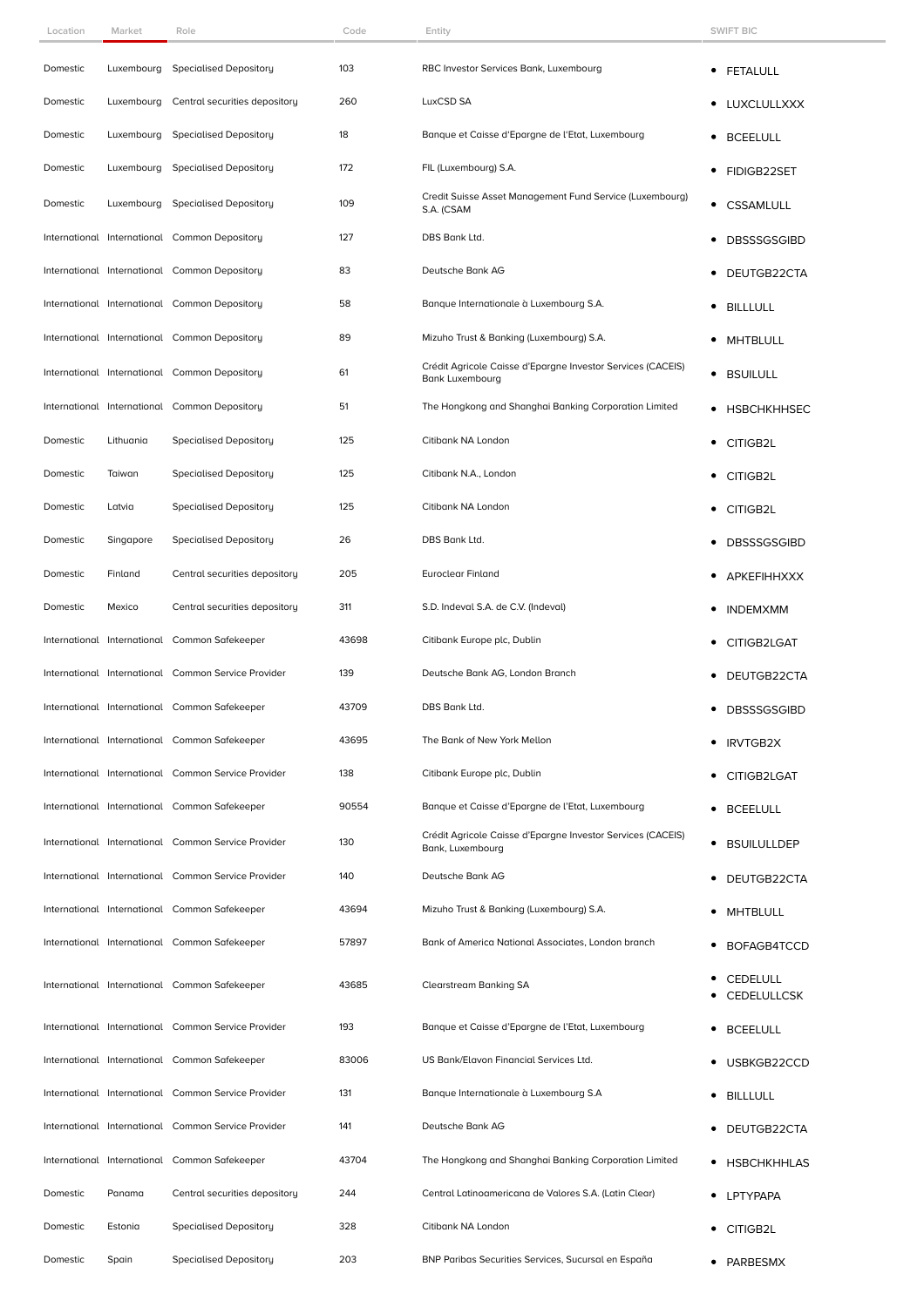| Location | Market     | Role                                                | Code  | Entity                                                                                | <b>SWIFT BIC</b>                      |
|----------|------------|-----------------------------------------------------|-------|---------------------------------------------------------------------------------------|---------------------------------------|
| Domestic | Luxembourg | Specialised Depository                              | 103   | RBC Investor Services Bank, Luxembourg                                                | ٠<br><b>FETALULL</b>                  |
| Domestic | Luxembourg | Central securities depository                       | 260   | LuxCSD SA                                                                             | <b>LUXCLULLXXX</b>                    |
| Domestic | Luxembourg | <b>Specialised Depository</b>                       | 18    | Banque et Caisse d'Epargne de l'Etat, Luxembourg                                      | <b>BCEELULL</b><br>٠                  |
| Domestic | Luxembourg | <b>Specialised Depository</b>                       | 172   | FIL (Luxembourg) S.A.                                                                 | FIDIGB22SET<br>٠                      |
| Domestic | Luxembourg | Specialised Depository                              | 109   | Credit Suisse Asset Management Fund Service (Luxembourg)<br>S.A. (CSAM                | <b>CSSAMLULL</b><br>$\bullet$         |
|          |            | International International Common Depository       | 127   | DBS Bank Ltd.                                                                         | <b>DBSSSGSGIBD</b><br>٠               |
|          |            | International International Common Depository       | 83    | Deutsche Bank AG                                                                      | DEUTGB22CTA                           |
|          |            | International International Common Depository       | 58    | Banque Internationale à Luxembourg S.A.                                               | <b>BILLLULL</b><br>٠                  |
|          |            | International International Common Depository       | 89    | Mizuho Trust & Banking (Luxembourg) S.A.                                              | <b>MHTBLULL</b>                       |
|          |            | International International Common Depository       | 61    | Crédit Agricole Caisse d'Epargne Investor Services (CACEIS)<br><b>Bank Luxembourg</b> | <b>BSUILULL</b><br>٠                  |
|          |            | International International Common Depository       | 51    | The Hongkong and Shanghai Banking Corporation Limited                                 | <b>HSBCHKHHSEC</b><br>٠               |
| Domestic | Lithuania  | <b>Specialised Depository</b>                       | 125   | Citibank NA London                                                                    | CITIGB2L<br>٠                         |
| Domestic | Taiwan     | Specialised Depository                              | 125   | Citibank N.A., London                                                                 | CITIGB2L                              |
| Domestic | Latvia     | <b>Specialised Depository</b>                       | 125   | Citibank NA London                                                                    | CITIGB2L<br>٠                         |
| Domestic | Singapore  | <b>Specialised Depository</b>                       | 26    | DBS Bank Ltd.                                                                         | <b>DBSSSGSGIBD</b>                    |
| Domestic | Finland    | Central securities depository                       | 205   | Euroclear Finland                                                                     | <b>APKEFIHHXXX</b>                    |
| Domestic | Mexico     | Central securities depository                       | 311   | S.D. Indeval S.A. de C.V. (Indeval)                                                   | <b>INDEMXMM</b>                       |
|          |            | International International Common Safekeeper       | 43698 | Citibank Europe plc, Dublin                                                           | CITIGB2LGAT                           |
|          |            | International International Common Service Provider | 139   | Deutsche Bank AG, London Branch                                                       | DEUTGB22CTA                           |
|          |            | International International Common Safekeeper       | 43709 | DBS Bank Ltd.                                                                         | <b>DBSSSGSGIBD</b>                    |
|          |            | International International Common Safekeeper       | 43695 | The Bank of New York Mellon                                                           | <b>IRVTGB2X</b>                       |
|          |            | International International Common Service Provider | 138   | Citibank Europe plc, Dublin                                                           | CITIGB2LGAT<br>٠                      |
|          |            | International International Common Safekeeper       | 90554 | Banque et Caisse d'Epargne de l'Etat, Luxembourg                                      | <b>BCEELULL</b><br>٠                  |
|          |            | International International Common Service Provider | 130   | Crédit Agricole Caisse d'Epargne Investor Services (CACEIS)<br>Bank, Luxembourg       | <b>BSUILULLDEP</b><br>٠               |
|          |            | International International Common Service Provider | 140   | Deutsche Bank AG                                                                      | DEUTGB22CTA                           |
|          |            | International International Common Safekeeper       | 43694 | Mizuho Trust & Banking (Luxembourg) S.A.                                              | <b>MHTBLULL</b>                       |
|          |            | International International Common Safekeeper       | 57897 | Bank of America National Associates, London branch                                    | BOFAGB4TCCD                           |
|          |            | International International Common Safekeeper       | 43685 | <b>Clearstream Banking SA</b>                                                         | <b>CEDELULL</b><br><b>CEDELULLCSK</b> |
|          |            | International International Common Service Provider | 193   | Banque et Caisse d'Epargne de l'Etat, Luxembourg                                      | <b>BCEELULL</b>                       |
|          |            | International International Common Safekeeper       | 83006 | US Bank/Elavon Financial Services Ltd.                                                | USBKGB22CCD                           |
|          |            | International International Common Service Provider | 131   | Banque Internationale à Luxembourg S.A                                                | <b>BILLLULL</b><br>٠                  |
|          |            | International International Common Service Provider | 141   | Deutsche Bank AG                                                                      | DEUTGB22CTA                           |
|          |            | International International Common Safekeeper       | 43704 | The Hongkong and Shanghai Banking Corporation Limited                                 | <b>HSBCHKHHLAS</b><br>٠               |
| Domestic | Panama     | Central securities depository                       | 244   | Central Latinoamericana de Valores S.A. (Latin Clear)                                 | <b>LPTYPAPA</b><br>٠                  |
| Domestic | Estonia    | <b>Specialised Depository</b>                       | 328   | Citibank NA London                                                                    | CITIGB2L                              |
| Domestic | Spain      | <b>Specialised Depository</b>                       | 203   | BNP Paribas Securities Services, Sucursal en España                                   | • PARBESMX                            |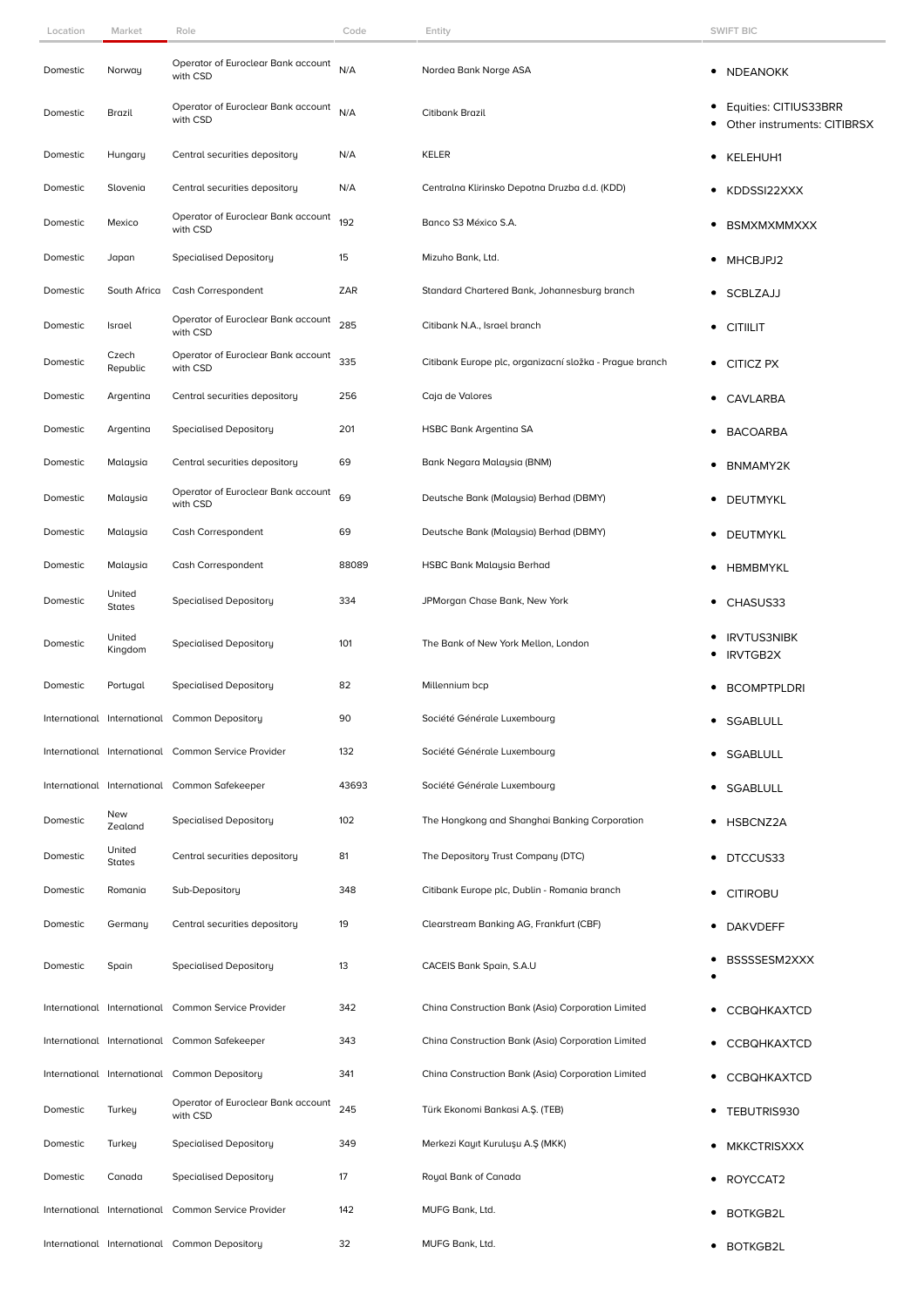| Location | Market                  | Role                                                | Code  | Entity                                                  | <b>SWIFT BIC</b>                                          |
|----------|-------------------------|-----------------------------------------------------|-------|---------------------------------------------------------|-----------------------------------------------------------|
| Domestic | Norway                  | Operator of Euroclear Bank account<br>with CSD      | N/A   | Nordea Bank Norge ASA                                   | • NDEANOKK                                                |
| Domestic | Brazil                  | Operator of Euroclear Bank account<br>with CSD      | N/A   | Citibank Brazil                                         | Equities: CITIUS33BRR<br>٠<br>Other instruments: CITIBRSX |
| Domestic | Hungary                 | Central securities depository                       | N/A   | <b>KELER</b>                                            | • KELEHUH1                                                |
| Domestic | Slovenia                | Central securities depository                       | N/A   | Centralna Klirinsko Depotna Druzba d.d. (KDD)           | • KDDSSI22XXX                                             |
| Domestic | Mexico                  | Operator of Euroclear Bank account<br>with CSD      | 192   | Banco S3 México S.A.                                    | ● BSMXMXMMXXX                                             |
| Domestic | Japan                   | <b>Specialised Depository</b>                       | 15    | Mizuho Bank, Ltd.                                       | • MHCBJPJ2                                                |
| Domestic | South Africa            | Cash Correspondent                                  | ZAR   | Standard Chartered Bank, Johannesburg branch            | • SCBLZAJJ                                                |
| Domestic | Israel                  | Operator of Euroclear Bank account<br>with CSD      | 285   | Citibank N.A., Israel branch                            | <b>CITIILIT</b>                                           |
| Domestic | Czech<br>Republic       | Operator of Euroclear Bank account<br>with CSD      | 335   | Citibank Europe plc, organizacní složka - Prague branch | • CITICZ PX                                               |
| Domestic | Argentina               | Central securities depository                       | 256   | Caja de Valores                                         | <b>CAVLARBA</b><br>٠                                      |
| Domestic | Argentina               | <b>Specialised Depository</b>                       | 201   | <b>HSBC Bank Argentina SA</b>                           | <b>BACOARBA</b><br>٠                                      |
| Domestic | Malaysia                | Central securities depository                       | 69    | Bank Negara Malaysia (BNM)                              | • BNMAMY2K                                                |
| Domestic | Malaysia                | Operator of Euroclear Bank account<br>with CSD      | 69    | Deutsche Bank (Malaysia) Berhad (DBMY)                  | • DEUTMYKL                                                |
| Domestic | Malaysia                | Cash Correspondent                                  | 69    | Deutsche Bank (Malaysia) Berhad (DBMY)                  | • DEUTMYKL                                                |
| Domestic | Malaysia                | Cash Correspondent                                  | 88089 | HSBC Bank Malaysia Berhad                               | HBMBMYKL<br>٠                                             |
| Domestic | United<br>States        | <b>Specialised Depository</b>                       | 334   | JPMorgan Chase Bank, New York                           | CHASUS33<br>$\bullet$                                     |
| Domestic | United<br>Kingdom       | <b>Specialised Depository</b>                       | 101   | The Bank of New York Mellon, London                     | <b>IRVTUS3NIBK</b><br><b>IRVTGB2X</b>                     |
| Domestic | Portugal                | <b>Specialised Depository</b>                       | 82    | Millennium bcp                                          | <b>BCOMPTPLDRI</b><br>$\bullet$                           |
|          |                         | International International Common Depository       | 90    | Société Générale Luxembourg                             | $\bullet$<br>SGABLULL                                     |
|          |                         | International International Common Service Provider | 132   | Société Générale Luxembourg                             | SGABLULL                                                  |
|          |                         | International International Common Safekeeper       | 43693 | Société Générale Luxembourg                             | • SGABLULL                                                |
| Domestic | New<br>Zealand          | <b>Specialised Depository</b>                       | 102   | The Hongkong and Shanghai Banking Corporation           | • HSBCNZ2A                                                |
| Domestic | United<br><b>States</b> | Central securities depository                       | 81    | The Depository Trust Company (DTC)                      | DTCCUS33<br>٠                                             |
| Domestic | Romania                 | Sub-Depository                                      | 348   | Citibank Europe plc, Dublin - Romania branch            | <b>CITIROBU</b><br>$\bullet$                              |
| Domestic | Germany                 | Central securities depository                       | 19    | Clearstream Banking AG, Frankfurt (CBF)                 | DAKVDEFF<br>٠                                             |
| Domestic | Spain                   | <b>Specialised Depository</b>                       | 13    | CACEIS Bank Spain, S.A.U                                | BSSSSESM2XXX<br>٠                                         |
|          |                         | International International Common Service Provider | 342   | China Construction Bank (Asia) Corporation Limited      | <b>CCBQHKAXTCD</b>                                        |
|          |                         | International International Common Safekeeper       | 343   | China Construction Bank (Asia) Corporation Limited      | <b>CCBQHKAXTCD</b><br>٠                                   |
|          |                         | International International Common Depository       | 341   | China Construction Bank (Asia) Corporation Limited      | <b>CCBQHKAXTCD</b><br>٠                                   |
| Domestic | Turkey                  | Operator of Euroclear Bank account<br>with CSD      | 245   | Türk Ekonomi Bankasi A.Ş. (TEB)                         | • TEBUTRIS930                                             |
| Domestic | Turkey                  | <b>Specialised Depository</b>                       | 349   | Merkezi Kayıt Kuruluşu A.Ş (MKK)                        | • MKKCTRISXXX                                             |
| Domestic | Canada                  | <b>Specialised Depository</b>                       | 17    | Royal Bank of Canada                                    | ROYCCAT2                                                  |
|          |                         | International International Common Service Provider | 142   | MUFG Bank, Ltd.                                         | <b>BOTKGB2L</b>                                           |
|          |                         | International International Common Depository       | 32    | MUFG Bank, Ltd.                                         | • BOTKGB2L                                                |